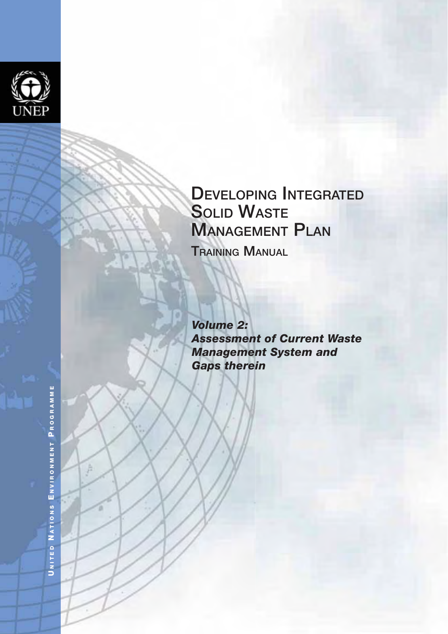

# **GAPT THE SOLID WASTE<br>
GAPS THE MANAGEMENT PLAN<br>
TRAINING MANUAL<br>
<b>Volume 2:**<br> **Assessment of Current Waste<br>
Management System and<br>
Gaps therein**

*Volume 2: Assessment of Current Waste Management System and* 

ENVIRONMENT PROGRAMME **NITED N ATIONS E NVIRONMENT P ROGRAMME** NATIONS UNITED

A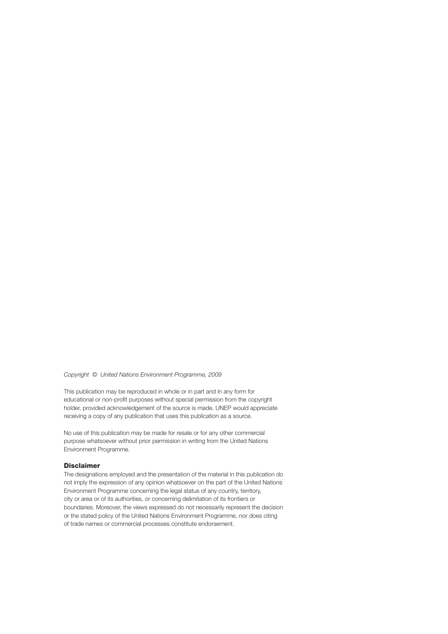#### *Copyright © United Nations Environment Programme, 2009*

This publication may be reproduced in whole or in part and in any form for educational or non-profit purposes without special permission from the copyright holder, provided acknowledgement of the source is made. UNEP would appreciate receiving a copy of any publication that uses this publication as a source.

No use of this publication may be made for resale or for any other commercial purpose whatsoever without prior permission in writing from the United Nations Environment Programme.

#### **Disclaimer**

The designations employed and the presentation of the material in this publication do not imply the expression of any opinion whatsoever on the part of the United Nations Environment Programme concerning the legal status of any country, territory, city or area or of its authorities, or concerning delimitation of its frontiers or boundaries. Moreover, the views expressed do not necessarily represent the decision or the stated policy of the United Nations Environment Programme, nor does citing of trade names or commercial processes constitute endorsement.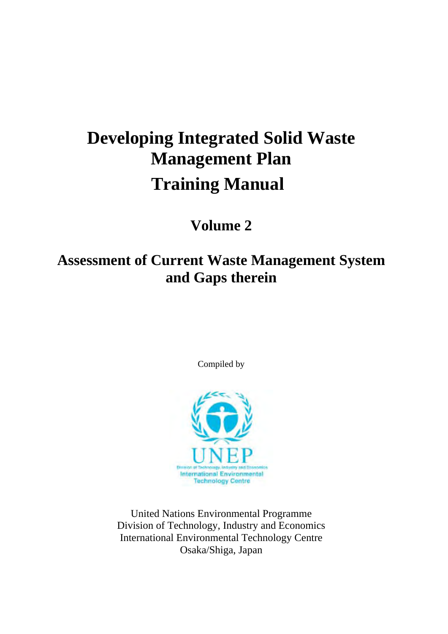# **Developing Integrated Solid Waste Management Plan Training Manual**

# **Volume 2**

# **Assessment of Current Waste Management System and Gaps therein**

Compiled by



United Nations Environmental Programme Division of Technology, Industry and Economics International Environmental Technology Centre Osaka/Shiga, Japan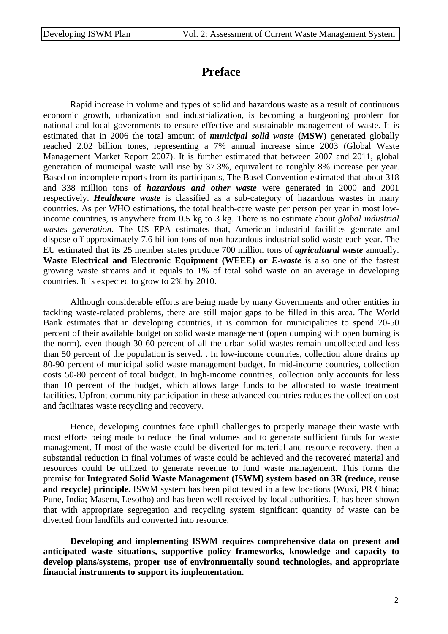# **Preface**

Rapid increase in volume and types of solid and hazardous waste as a result of continuous economic growth, urbanization and industrialization, is becoming a burgeoning problem for national and local governments to ensure effective and sustainable management of waste. It is estimated that in 2006 the total amount of *municipal solid waste* **(MSW)** generated globally reached 2.02 billion tones, representing a 7% annual increase since 2003 (Global Waste Management Market Report 2007). It is further estimated that between 2007 and 2011, global generation of municipal waste will rise by 37.3%, equivalent to roughly 8% increase per year. Based on incomplete reports from its participants, The Basel Convention estimated that about 318 and 338 million tons of *hazardous and other waste* were generated in 2000 and 2001 respectively. *Healthcare waste* is classified as a sub-category of hazardous wastes in many countries. As per WHO estimations, the total health-care waste per person per year in most lowincome countries, is anywhere from 0.5 kg to 3 kg. There is no estimate about *global industrial wastes generation*. The US EPA estimates that, American industrial facilities generate and dispose off approximately 7.6 billion tons of non-hazardous industrial solid waste each year. The EU estimated that its 25 member states produce 700 million tons of *agricultural waste* annually. **Waste Electrical and Electronic Equipment (WEEE) or** *E-waste* is also one of the fastest growing waste streams and it equals to 1% of total solid waste on an average in developing countries. It is expected to grow to 2% by 2010.

Although considerable efforts are being made by many Governments and other entities in tackling waste-related problems, there are still major gaps to be filled in this area. The World Bank estimates that in developing countries, it is common for municipalities to spend 20-50 percent of their available budget on solid waste management (open dumping with open burning is the norm), even though 30-60 percent of all the urban solid wastes remain uncollected and less than 50 percent of the population is served. . In low-income countries, collection alone drains up 80-90 percent of municipal solid waste management budget. In mid-income countries, collection costs 50-80 percent of total budget. In high-income countries, collection only accounts for less than 10 percent of the budget, which allows large funds to be allocated to waste treatment facilities. Upfront community participation in these advanced countries reduces the collection cost and facilitates waste recycling and recovery.

Hence, developing countries face uphill challenges to properly manage their waste with most efforts being made to reduce the final volumes and to generate sufficient funds for waste management. If most of the waste could be diverted for material and resource recovery, then a substantial reduction in final volumes of waste could be achieved and the recovered material and resources could be utilized to generate revenue to fund waste management. This forms the premise for **Integrated Solid Waste Management (ISWM) system based on 3R (reduce, reuse and recycle) principle.** ISWM system has been pilot tested in a few locations (Wuxi, PR China; Pune, India; Maseru, Lesotho) and has been well received by local authorities. It has been shown that with appropriate segregation and recycling system significant quantity of waste can be diverted from landfills and converted into resource.

**Developing and implementing ISWM requires comprehensive data on present and anticipated waste situations, supportive policy frameworks, knowledge and capacity to develop plans/systems, proper use of environmentally sound technologies, and appropriate financial instruments to support its implementation.**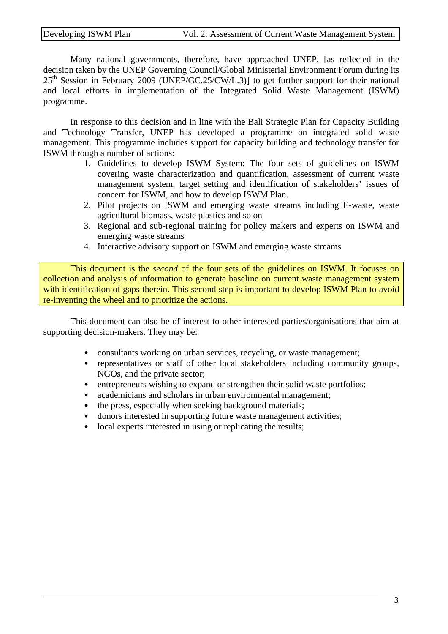Many national governments, therefore, have approached UNEP, [as reflected in the decision taken by the UNEP Governing Council/Global Ministerial Environment Forum during its  $25<sup>th</sup>$  Session in February 2009 (UNEP/GC.25/CW/L.3)] to get further support for their national and local efforts in implementation of the Integrated Solid Waste Management (ISWM) programme.

In response to this decision and in line with the Bali Strategic Plan for Capacity Building and Technology Transfer, UNEP has developed a programme on integrated solid waste management. This programme includes support for capacity building and technology transfer for ISWM through a number of actions:

- 1. Guidelines to develop ISWM System: The four sets of guidelines on ISWM covering waste characterization and quantification, assessment of current waste management system, target setting and identification of stakeholders' issues of concern for ISWM, and how to develop ISWM Plan.
- 2. Pilot projects on ISWM and emerging waste streams including E-waste, waste agricultural biomass, waste plastics and so on
- 3. Regional and sub-regional training for policy makers and experts on ISWM and emerging waste streams
- 4. Interactive advisory support on ISWM and emerging waste streams

This document is the *second* of the four sets of the guidelines on ISWM. It focuses on collection and analysis of information to generate baseline on current waste management system with identification of gaps therein. This second step is important to develop ISWM Plan to avoid re-inventing the wheel and to prioritize the actions.

This document can also be of interest to other interested parties/organisations that aim at supporting decision-makers. They may be:

- consultants working on urban services, recycling, or waste management;
- representatives or staff of other local stakeholders including community groups, NGOs, and the private sector;
- entrepreneurs wishing to expand or strengthen their solid waste portfolios;
- academicians and scholars in urban environmental management;
- the press, especially when seeking background materials;
- donors interested in supporting future waste management activities;
- local experts interested in using or replicating the results;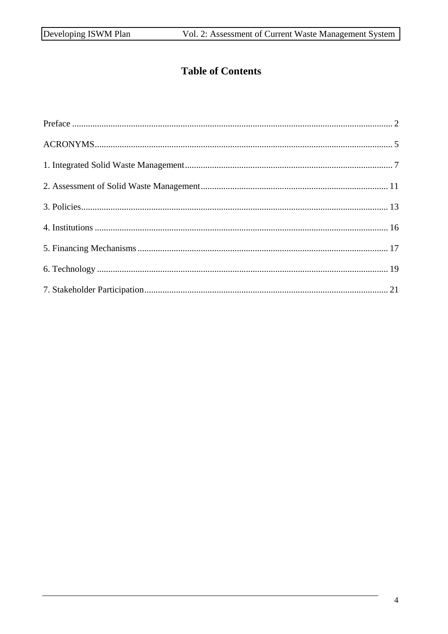# **Table of Contents**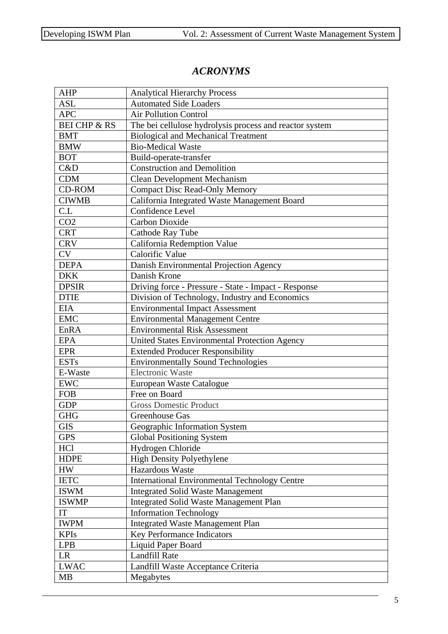## *ACRONYMS*

| <b>AHP</b>              | <b>Analytical Hierarchy Process</b>                     |  |  |
|-------------------------|---------------------------------------------------------|--|--|
| <b>ASL</b>              | <b>Automated Side Loaders</b>                           |  |  |
| <b>APC</b>              | <b>Air Pollution Control</b>                            |  |  |
| <b>BEI CHP &amp; RS</b> | The bei cellulose hydrolysis process and reactor system |  |  |
| <b>BMT</b>              | <b>Biological and Mechanical Treatment</b>              |  |  |
| <b>BMW</b>              | <b>Bio-Medical Waste</b>                                |  |  |
| <b>BOT</b>              | Build-operate-transfer                                  |  |  |
| C&D                     | <b>Construction and Demolition</b>                      |  |  |
| <b>CDM</b>              | <b>Clean Development Mechanism</b>                      |  |  |
| <b>CD-ROM</b>           | <b>Compact Disc Read-Only Memory</b>                    |  |  |
| <b>CIWMB</b>            | California Integrated Waste Management Board            |  |  |
| CL                      | Confidence Level                                        |  |  |
| CO <sub>2</sub>         | <b>Carbon Dioxide</b>                                   |  |  |
| <b>CRT</b>              | Cathode Ray Tube                                        |  |  |
| <b>CRV</b>              | California Redemption Value                             |  |  |
| <b>CV</b>               | Calorific Value                                         |  |  |
| <b>DEPA</b>             | Danish Environmental Projection Agency                  |  |  |
| <b>DKK</b>              | Danish Krone                                            |  |  |
| <b>DPSIR</b>            | Driving force - Pressure - State - Impact - Response    |  |  |
| <b>DTIE</b>             | Division of Technology, Industry and Economics          |  |  |
| <b>EIA</b>              | <b>Environmental Impact Assessment</b>                  |  |  |
| <b>EMC</b>              | <b>Environmental Management Centre</b>                  |  |  |
| EnRA                    | <b>Environmental Risk Assessment</b>                    |  |  |
| <b>EPA</b>              | United States Environmental Protection Agency           |  |  |
| <b>EPR</b>              | <b>Extended Producer Responsibility</b>                 |  |  |
| <b>ESTs</b>             | <b>Environmentally Sound Technologies</b>               |  |  |
| E-Waste                 | <b>Electronic Waste</b>                                 |  |  |
| <b>EWC</b>              | European Waste Catalogue                                |  |  |
| <b>FOB</b>              | Free on Board                                           |  |  |
| <b>GDP</b>              | <b>Gross Domestic Product</b>                           |  |  |
| <b>GHG</b>              | Greenhouse Gas                                          |  |  |
| <b>GIS</b>              | Geographic Information System                           |  |  |
| <b>GPS</b>              | <b>Global Positioning System</b>                        |  |  |
| <b>HCl</b>              | Hydrogen Chloride                                       |  |  |
| <b>HDPE</b>             | <b>High Density Polyethylene</b>                        |  |  |
| <b>HW</b>               | Hazardous Waste                                         |  |  |
| <b>IETC</b>             | <b>International Environmental Technology Centre</b>    |  |  |
| <b>ISWM</b>             | <b>Integrated Solid Waste Management</b>                |  |  |
| <b>ISWMP</b>            | <b>Integrated Solid Waste Management Plan</b>           |  |  |
| IT                      | <b>Information Technology</b>                           |  |  |
| <b>IWPM</b>             | <b>Integrated Waste Management Plan</b>                 |  |  |
| <b>KPIs</b>             | <b>Key Performance Indicators</b>                       |  |  |
| <b>LPB</b>              | Liquid Paper Board                                      |  |  |
| <b>LR</b>               | <b>Landfill Rate</b>                                    |  |  |
| <b>LWAC</b>             | Landfill Waste Acceptance Criteria                      |  |  |
| <b>MB</b>               | Megabytes                                               |  |  |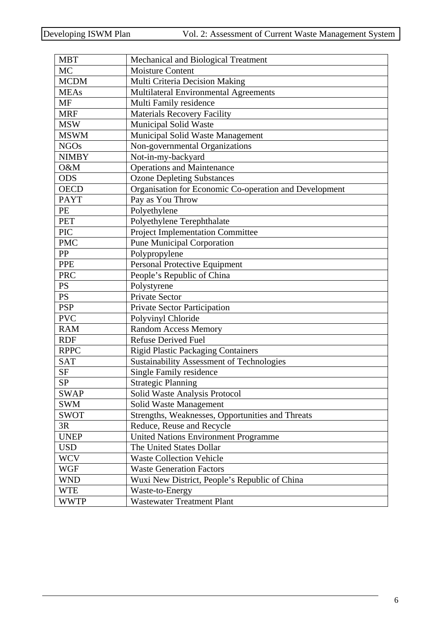| <b>MBT</b>   | Mechanical and Biological Treatment                    |  |  |  |
|--------------|--------------------------------------------------------|--|--|--|
| <b>MC</b>    | <b>Moisture Content</b>                                |  |  |  |
| <b>MCDM</b>  | Multi Criteria Decision Making                         |  |  |  |
| <b>MEAs</b>  | Multilateral Environmental Agreements                  |  |  |  |
| <b>MF</b>    | Multi Family residence                                 |  |  |  |
| <b>MRF</b>   | <b>Materials Recovery Facility</b>                     |  |  |  |
| <b>MSW</b>   | <b>Municipal Solid Waste</b>                           |  |  |  |
| <b>MSWM</b>  | Municipal Solid Waste Management                       |  |  |  |
| <b>NGOs</b>  | Non-governmental Organizations                         |  |  |  |
| <b>NIMBY</b> | Not-in-my-backyard                                     |  |  |  |
| O&M          | <b>Operations and Maintenance</b>                      |  |  |  |
| <b>ODS</b>   | <b>Ozone Depleting Substances</b>                      |  |  |  |
| <b>OECD</b>  | Organisation for Economic Co-operation and Development |  |  |  |
| <b>PAYT</b>  | Pay as You Throw                                       |  |  |  |
| PE           | Polyethylene                                           |  |  |  |
| <b>PET</b>   | Polyethylene Terephthalate                             |  |  |  |
| PIC          | <b>Project Implementation Committee</b>                |  |  |  |
| <b>PMC</b>   | <b>Pune Municipal Corporation</b>                      |  |  |  |
| PP           | Polypropylene                                          |  |  |  |
| PPE          | Personal Protective Equipment                          |  |  |  |
| <b>PRC</b>   | People's Republic of China                             |  |  |  |
| <b>PS</b>    | Polystyrene                                            |  |  |  |
| <b>PS</b>    | <b>Private Sector</b>                                  |  |  |  |
| <b>PSP</b>   | Private Sector Participation                           |  |  |  |
| <b>PVC</b>   | Polyvinyl Chloride                                     |  |  |  |
| <b>RAM</b>   | <b>Random Access Memory</b>                            |  |  |  |
| <b>RDF</b>   | <b>Refuse Derived Fuel</b>                             |  |  |  |
| <b>RPPC</b>  | <b>Rigid Plastic Packaging Containers</b>              |  |  |  |
| <b>SAT</b>   | <b>Sustainability Assessment of Technologies</b>       |  |  |  |
| <b>SF</b>    | Single Family residence                                |  |  |  |
| <b>SP</b>    | <b>Strategic Planning</b>                              |  |  |  |
| <b>SWAP</b>  | Solid Waste Analysis Protocol                          |  |  |  |
| <b>SWM</b>   | Solid Waste Management                                 |  |  |  |
| <b>SWOT</b>  | Strengths, Weaknesses, Opportunities and Threats       |  |  |  |
| 3R           | Reduce, Reuse and Recycle                              |  |  |  |
| <b>UNEP</b>  | <b>United Nations Environment Programme</b>            |  |  |  |
| <b>USD</b>   | The United States Dollar                               |  |  |  |
| <b>WCV</b>   | <b>Waste Collection Vehicle</b>                        |  |  |  |
| <b>WGF</b>   | <b>Waste Generation Factors</b>                        |  |  |  |
| <b>WND</b>   | Wuxi New District, People's Republic of China          |  |  |  |
| <b>WTE</b>   | Waste-to-Energy                                        |  |  |  |
| <b>WWTP</b>  | <b>Wastewater Treatment Plant</b>                      |  |  |  |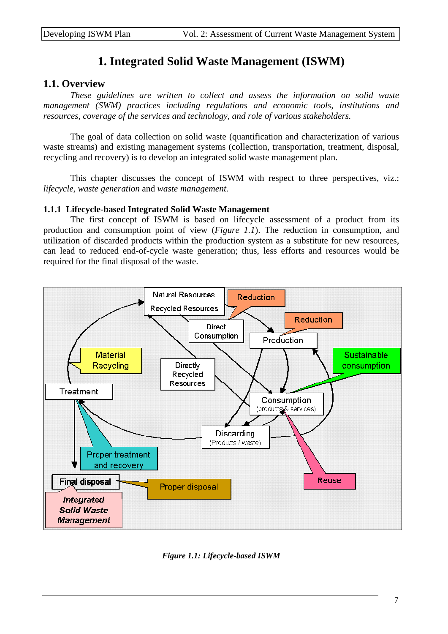# **1. Integrated Solid Waste Management (ISWM)**

#### **1.1. Overview**

 *These guidelines are written to collect and assess the information on solid waste management (SWM) practices including regulations and economic tools, institutions and resources, coverage of the services and technology, and role of various stakeholders.* 

The goal of data collection on solid waste (quantification and characterization of various waste streams) and existing management systems (collection, transportation, treatment, disposal, recycling and recovery) is to develop an integrated solid waste management plan.

This chapter discusses the concept of ISWM with respect to three perspectives, viz.: *lifecycle, waste generation* and *waste management.* 

#### **1.1.1 Lifecycle-based Integrated Solid Waste Management**

 The first concept of ISWM is based on lifecycle assessment of a product from its production and consumption point of view (*Figure 1.1*). The reduction in consumption, and utilization of discarded products within the production system as a substitute for new resources, can lead to reduced end-of-cycle waste generation; thus, less efforts and resources would be required for the final disposal of the waste.



*Figure 1.1: Lifecycle-based ISWM*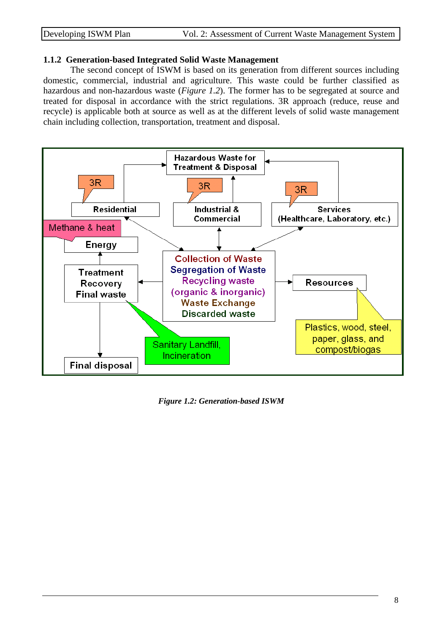#### **1.1.2 Generation-based Integrated Solid Waste Management**

 The second concept of ISWM is based on its generation from different sources including domestic, commercial, industrial and agriculture. This waste could be further classified as hazardous and non-hazardous waste (*Figure 1.2*). The former has to be segregated at source and treated for disposal in accordance with the strict regulations. 3R approach (reduce, reuse and recycle) is applicable both at source as well as at the different levels of solid waste management chain including collection, transportation, treatment and disposal.



*Figure 1.2: Generation-based ISWM*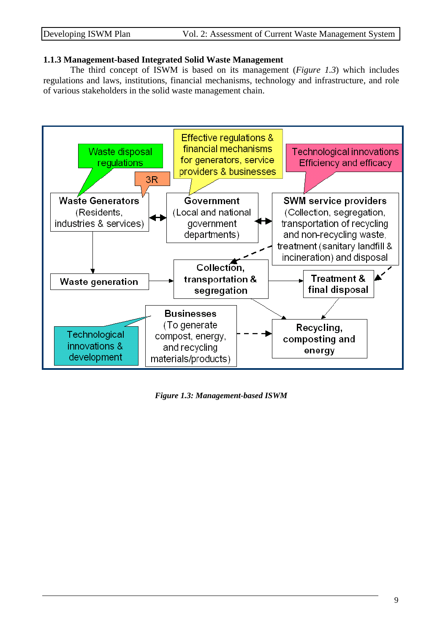#### **1.1.3 Management-based Integrated Solid Waste Management**

 The third concept of ISWM is based on its management (*Figure 1.3*) which includes regulations and laws, institutions, financial mechanisms, technology and infrastructure, and role of various stakeholders in the solid waste management chain.



*Figure 1.3: Management-based ISWM*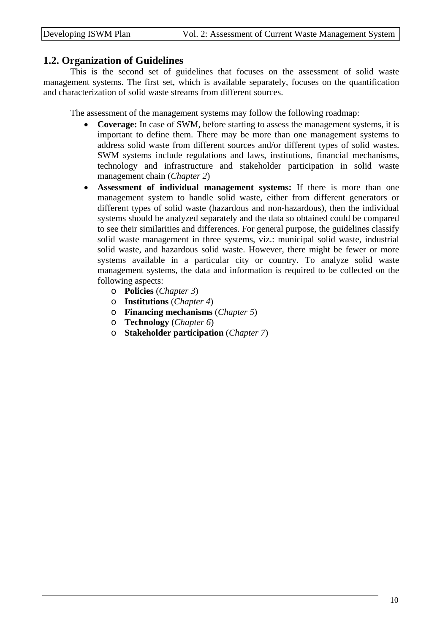#### **1.2. Organization of Guidelines**

 This is the second set of guidelines that focuses on the assessment of solid waste management systems. The first set, which is available separately, focuses on the quantification and characterization of solid waste streams from different sources.

The assessment of the management systems may follow the following roadmap:

- **Coverage:** In case of SWM, before starting to assess the management systems, it is important to define them. There may be more than one management systems to address solid waste from different sources and/or different types of solid wastes. SWM systems include regulations and laws, institutions, financial mechanisms, technology and infrastructure and stakeholder participation in solid waste management chain (*Chapter 2*)
- **Assessment of individual management systems:** If there is more than one management system to handle solid waste, either from different generators or different types of solid waste (hazardous and non-hazardous), then the individual systems should be analyzed separately and the data so obtained could be compared to see their similarities and differences. For general purpose, the guidelines classify solid waste management in three systems, viz.: municipal solid waste, industrial solid waste, and hazardous solid waste. However, there might be fewer or more systems available in a particular city or country. To analyze solid waste management systems, the data and information is required to be collected on the following aspects:
	- o **Policies** (*Chapter 3*)
	- o **Institutions** (*Chapter 4*)
	- o **Financing mechanisms** (*Chapter 5*)
	- o **Technology** (*Chapter 6*)
	- o **Stakeholder participation** (*Chapter 7*)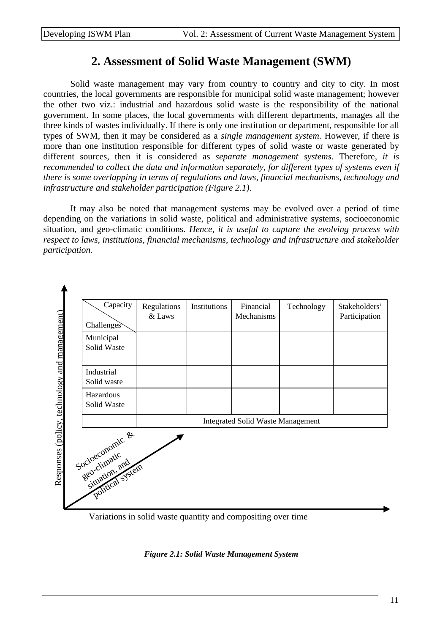## **2. Assessment of Solid Waste Management (SWM)**

 Solid waste management may vary from country to country and city to city. In most countries, the local governments are responsible for municipal solid waste management; however the other two viz.: industrial and hazardous solid waste is the responsibility of the national government. In some places, the local governments with different departments, manages all the three kinds of wastes individually. If there is only one institution or department, responsible for all types of SWM, then it may be considered as a *single management system*. However, if there is more than one institution responsible for different types of solid waste or waste generated by different sources, then it is considered as *separate management systems*. Therefore, *it is recommended to collect the data and information separately, for different types of systems even if there is some overlapping in terms of regulations and laws, financial mechanisms, technology and infrastructure and stakeholder participation (Figure 2.1)*.

 It may also be noted that management systems may be evolved over a period of time depending on the variations in solid waste, political and administrative systems, socioeconomic situation, and geo-climatic conditions. *Hence, it is useful to capture the evolving process with respect to laws, institutions, financial mechanisms, technology and infrastructure and stakeholder participation.* 



Variations in solid waste quantity and compositing over time

*Figure 2.1: Solid Waste Management System*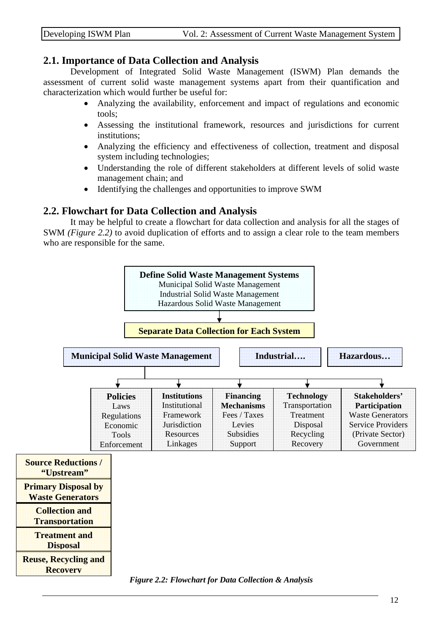#### **2.1. Importance of Data Collection and Analysis**

 Development of Integrated Solid Waste Management (ISWM) Plan demands the assessment of current solid waste management systems apart from their quantification and characterization which would further be useful for:

- Analyzing the availability, enforcement and impact of regulations and economic tools;
- Assessing the institutional framework, resources and jurisdictions for current institutions;
- Analyzing the efficiency and effectiveness of collection, treatment and disposal system including technologies;
- Understanding the role of different stakeholders at different levels of solid waste management chain; and
- Identifying the challenges and opportunities to improve SWM

#### **2.2. Flowchart for Data Collection and Analysis**

 It may be helpful to create a flowchart for data collection and analysis for all the stages of SWM *(Figure 2.2)* to avoid duplication of efforts and to assign a clear role to the team members who are responsible for the same.

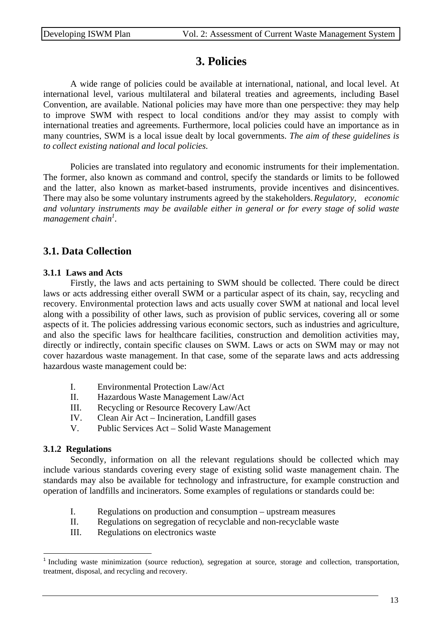# **3. Policies**

 A wide range of policies could be available at international, national, and local level. At international level, various multilateral and bilateral treaties and agreements, including Basel Convention, are available. National policies may have more than one perspective: they may help to improve SWM with respect to local conditions and/or they may assist to comply with international treaties and agreements. Furthermore, local policies could have an importance as in many countries, SWM is a local issue dealt by local governments. *The aim of these guidelines is to collect existing national and local policies.* 

 Policies are translated into regulatory and economic instruments for their implementation. The former, also known as command and control, specify the standards or limits to be followed and the latter, also known as market-based instruments, provide incentives and disincentives. There may also be some voluntary instruments agreed by the stakeholders. *Regulatory, economic*  and voluntary instruments may be available either in general or for every stage of solid waste management chain<sup>1</sup>.

## **3.1. Data Collection**

#### **3.1.1 Laws and Acts**

 Firstly, the laws and acts pertaining to SWM should be collected. There could be direct laws or acts addressing either overall SWM or a particular aspect of its chain, say, recycling and recovery. Environmental protection laws and acts usually cover SWM at national and local level along with a possibility of other laws, such as provision of public services, covering all or some aspects of it. The policies addressing various economic sectors, such as industries and agriculture, and also the specific laws for healthcare facilities, construction and demolition activities may, directly or indirectly, contain specific clauses on SWM. Laws or acts on SWM may or may not cover hazardous waste management. In that case, some of the separate laws and acts addressing hazardous waste management could be:

- I. Environmental Protection Law/Act
- II. Hazardous Waste Management Law/Act
- III. Recycling or Resource Recovery Law/Act
- IV. Clean Air Act Incineration, Landfill gases
- V. Public Services Act Solid Waste Management

#### **3.1.2 Regulations**

 Secondly, information on all the relevant regulations should be collected which may include various standards covering every stage of existing solid waste management chain. The standards may also be available for technology and infrastructure, for example construction and operation of landfills and incinerators. Some examples of regulations or standards could be:

- I. Regulations on production and consumption upstream measures
- II. Regulations on segregation of recyclable and non-recyclable waste
- III. Regulations on electronics waste

<sup>&</sup>lt;sup>1</sup> Including waste minimization (source reduction), segregation at source, storage and collection, transportation, treatment, disposal, and recycling and recovery.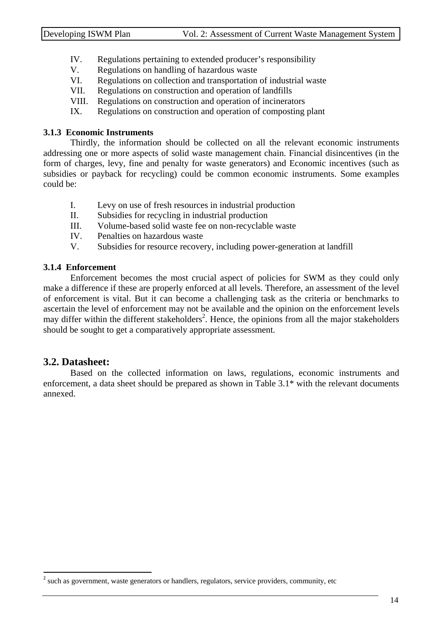- IV. Regulations pertaining to extended producer's responsibility
- V. Regulations on handling of hazardous waste
- VI. Regulations on collection and transportation of industrial waste
- VII. Regulations on construction and operation of landfills
- VIII. Regulations on construction and operation of incinerators
- IX. Regulations on construction and operation of composting plant

#### **3.1.3 Economic Instruments**

 Thirdly, the information should be collected on all the relevant economic instruments addressing one or more aspects of solid waste management chain. Financial disincentives (in the form of charges, levy, fine and penalty for waste generators) and Economic incentives (such as subsidies or payback for recycling) could be common economic instruments. Some examples could be:

- I. Levy on use of fresh resources in industrial production
- II. Subsidies for recycling in industrial production
- III. Volume-based solid waste fee on non-recyclable waste
- IV. Penalties on hazardous waste
- V. Subsidies for resource recovery, including power-generation at landfill

#### **3.1.4 Enforcement**

Enforcement becomes the most crucial aspect of policies for SWM as they could only make a difference if these are properly enforced at all levels. Therefore, an assessment of the level of enforcement is vital. But it can become a challenging task as the criteria or benchmarks to ascertain the level of enforcement may not be available and the opinion on the enforcement levels may differ within the different stakeholders<sup>2</sup>. Hence, the opinions from all the major stakeholders should be sought to get a comparatively appropriate assessment.

#### **3.2. Datasheet:**

 Based on the collected information on laws, regulations, economic instruments and enforcement, a data sheet should be prepared as shown in Table 3.1\* with the relevant documents annexed.

<sup>&</sup>lt;sup>2</sup> such as government, waste generators or handlers, regulators, service providers, community, etc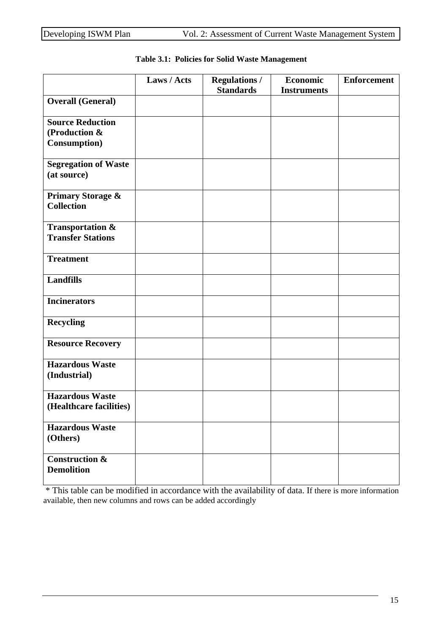|                                                                  | Laws / Acts | <b>Regulations /</b><br><b>Standards</b> | <b>Economic</b><br><b>Instruments</b> | <b>Enforcement</b> |
|------------------------------------------------------------------|-------------|------------------------------------------|---------------------------------------|--------------------|
| <b>Overall (General)</b>                                         |             |                                          |                                       |                    |
| <b>Source Reduction</b><br>(Production &<br><b>Consumption</b> ) |             |                                          |                                       |                    |
| <b>Segregation of Waste</b><br>(at source)                       |             |                                          |                                       |                    |
| <b>Primary Storage &amp;</b><br><b>Collection</b>                |             |                                          |                                       |                    |
| <b>Transportation &amp;</b><br><b>Transfer Stations</b>          |             |                                          |                                       |                    |
| <b>Treatment</b>                                                 |             |                                          |                                       |                    |
| <b>Landfills</b>                                                 |             |                                          |                                       |                    |
| <b>Incinerators</b>                                              |             |                                          |                                       |                    |
| <b>Recycling</b>                                                 |             |                                          |                                       |                    |
| <b>Resource Recovery</b>                                         |             |                                          |                                       |                    |
| <b>Hazardous Waste</b><br>(Industrial)                           |             |                                          |                                       |                    |
| <b>Hazardous Waste</b><br>(Healthcare facilities)                |             |                                          |                                       |                    |
| <b>Hazardous Waste</b><br>(Others)                               |             |                                          |                                       |                    |
| Construction $\overline{\mathbf{\&}}$<br><b>Demolition</b>       |             |                                          |                                       |                    |

#### **Table 3.1: Policies for Solid Waste Management**

 \* This table can be modified in accordance with the availability of data. If there is more information available, then new columns and rows can be added accordingly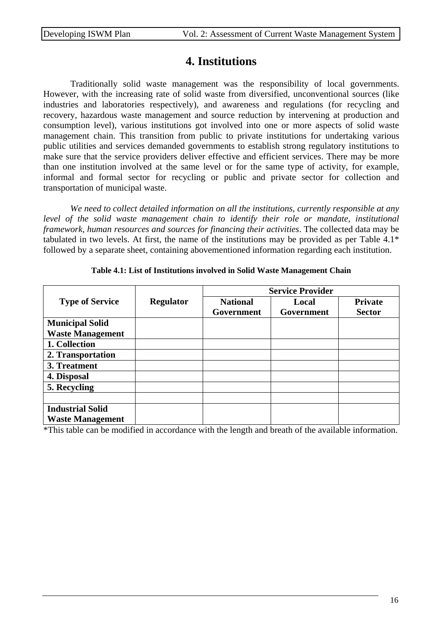### **4. Institutions**

 Traditionally solid waste management was the responsibility of local governments. However, with the increasing rate of solid waste from diversified, unconventional sources (like industries and laboratories respectively), and awareness and regulations (for recycling and recovery, hazardous waste management and source reduction by intervening at production and consumption level), various institutions got involved into one or more aspects of solid waste management chain. This transition from public to private institutions for undertaking various public utilities and services demanded governments to establish strong regulatory institutions to make sure that the service providers deliver effective and efficient services. There may be more than one institution involved at the same level or for the same type of activity, for example, informal and formal sector for recycling or public and private sector for collection and transportation of municipal waste.

 *We need to collect detailed information on all the institutions, currently responsible at any*  level of the solid waste management chain to identify their role or mandate, institutional *framework, human resources and sources for financing their activities*. The collected data may be tabulated in two levels. At first, the name of the institutions may be provided as per Table 4.1\* followed by a separate sheet, containing abovementioned information regarding each institution.

|                         |                  | <b>Service Provider</b>       |                     |                                 |
|-------------------------|------------------|-------------------------------|---------------------|---------------------------------|
| <b>Type of Service</b>  | <b>Regulator</b> | <b>National</b><br>Government | Local<br>Government | <b>Private</b><br><b>Sector</b> |
| <b>Municipal Solid</b>  |                  |                               |                     |                                 |
| <b>Waste Management</b> |                  |                               |                     |                                 |
| 1. Collection           |                  |                               |                     |                                 |
| 2. Transportation       |                  |                               |                     |                                 |
| 3. Treatment            |                  |                               |                     |                                 |
| 4. Disposal             |                  |                               |                     |                                 |
| 5. Recycling            |                  |                               |                     |                                 |
|                         |                  |                               |                     |                                 |
| <b>Industrial Solid</b> |                  |                               |                     |                                 |
| <b>Waste Management</b> |                  |                               |                     |                                 |

#### **Table 4.1: List of Institutions involved in Solid Waste Management Chain**

\*This table can be modified in accordance with the length and breath of the available information.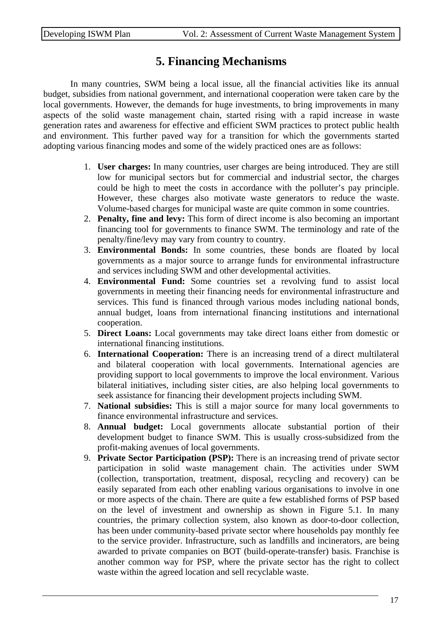# **5. Financing Mechanisms**

 In many countries, SWM being a local issue, all the financial activities like its annual budget, subsidies from national government, and international cooperation were taken care by the local governments. However, the demands for huge investments, to bring improvements in many aspects of the solid waste management chain, started rising with a rapid increase in waste generation rates and awareness for effective and efficient SWM practices to protect public health and environment. This further paved way for a transition for which the governments started adopting various financing modes and some of the widely practiced ones are as follows:

- 1. **User charges:** In many countries, user charges are being introduced. They are still low for municipal sectors but for commercial and industrial sector, the charges could be high to meet the costs in accordance with the polluter's pay principle. However, these charges also motivate waste generators to reduce the waste. Volume-based charges for municipal waste are quite common in some countries.
- 2. **Penalty, fine and levy:** This form of direct income is also becoming an important financing tool for governments to finance SWM. The terminology and rate of the penalty/fine/levy may vary from country to country.
- 3. **Environmental Bonds:** In some countries, these bonds are floated by local governments as a major source to arrange funds for environmental infrastructure and services including SWM and other developmental activities.
- 4. **Environmental Fund:** Some countries set a revolving fund to assist local governments in meeting their financing needs for environmental infrastructure and services. This fund is financed through various modes including national bonds, annual budget, loans from international financing institutions and international cooperation.
- 5. **Direct Loans:** Local governments may take direct loans either from domestic or international financing institutions.
- 6. **International Cooperation:** There is an increasing trend of a direct multilateral and bilateral cooperation with local governments. International agencies are providing support to local governments to improve the local environment. Various bilateral initiatives, including sister cities, are also helping local governments to seek assistance for financing their development projects including SWM.
- 7. **National subsidies:** This is still a major source for many local governments to finance environmental infrastructure and services.
- 8. **Annual budget:** Local governments allocate substantial portion of their development budget to finance SWM. This is usually cross-subsidized from the profit-making avenues of local governments.
- 9. **Private Sector Participation (PSP):** There is an increasing trend of private sector participation in solid waste management chain. The activities under SWM (collection, transportation, treatment, disposal, recycling and recovery) can be easily separated from each other enabling various organisations to involve in one or more aspects of the chain. There are quite a few established forms of PSP based on the level of investment and ownership as shown in Figure 5.1. In many countries, the primary collection system, also known as door-to-door collection, has been under community-based private sector where households pay monthly fee to the service provider. Infrastructure, such as landfills and incinerators, are being awarded to private companies on BOT (build-operate-transfer) basis. Franchise is another common way for PSP, where the private sector has the right to collect waste within the agreed location and sell recyclable waste.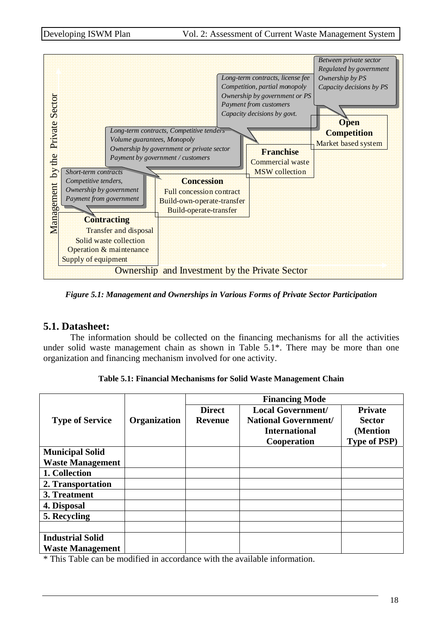

*Figure 5.1: Management and Ownerships in Various Forms of Private Sector Participation* 

#### **5.1. Datasheet:**

 The information should be collected on the financing mechanisms for all the activities under solid waste management chain as shown in Table 5.1\*. There may be more than one organization and financing mechanism involved for one activity.

| <b>Table 5.1: Financial Mechanisms for Solid Waste Management Chain</b> |
|-------------------------------------------------------------------------|
|-------------------------------------------------------------------------|

|                         |              | <b>Financing Mode</b> |                             |                     |  |
|-------------------------|--------------|-----------------------|-----------------------------|---------------------|--|
|                         |              | <b>Direct</b>         | <b>Local Government/</b>    | <b>Private</b>      |  |
| <b>Type of Service</b>  | Organization | <b>Revenue</b>        | <b>National Government/</b> | <b>Sector</b>       |  |
|                         |              |                       | <b>International</b>        | (Mention            |  |
|                         |              |                       | Cooperation                 | <b>Type of PSP)</b> |  |
| <b>Municipal Solid</b>  |              |                       |                             |                     |  |
| <b>Waste Management</b> |              |                       |                             |                     |  |
| 1. Collection           |              |                       |                             |                     |  |
| 2. Transportation       |              |                       |                             |                     |  |
| 3. Treatment            |              |                       |                             |                     |  |
| 4. Disposal             |              |                       |                             |                     |  |
| 5. Recycling            |              |                       |                             |                     |  |
|                         |              |                       |                             |                     |  |
| <b>Industrial Solid</b> |              |                       |                             |                     |  |
| <b>Waste Management</b> |              |                       |                             |                     |  |

\* This Table can be modified in accordance with the available information.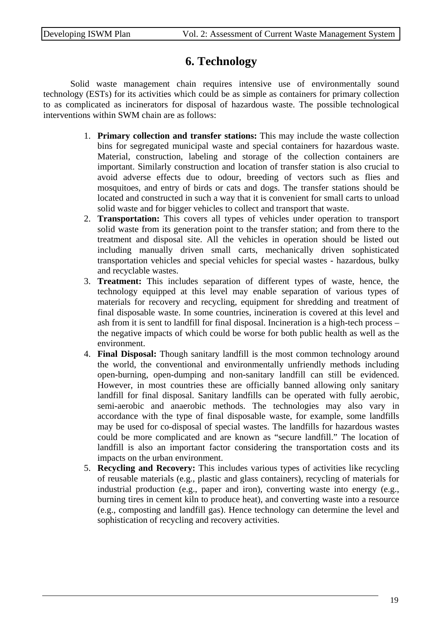## **6. Technology**

 Solid waste management chain requires intensive use of environmentally sound technology (ESTs) for its activities which could be as simple as containers for primary collection to as complicated as incinerators for disposal of hazardous waste. The possible technological interventions within SWM chain are as follows:

- 1. **Primary collection and transfer stations:** This may include the waste collection bins for segregated municipal waste and special containers for hazardous waste. Material, construction, labeling and storage of the collection containers are important. Similarly construction and location of transfer station is also crucial to avoid adverse effects due to odour, breeding of vectors such as flies and mosquitoes, and entry of birds or cats and dogs. The transfer stations should be located and constructed in such a way that it is convenient for small carts to unload solid waste and for bigger vehicles to collect and transport that waste.
- 2. **Transportation:** This covers all types of vehicles under operation to transport solid waste from its generation point to the transfer station; and from there to the treatment and disposal site. All the vehicles in operation should be listed out including manually driven small carts, mechanically driven sophisticated transportation vehicles and special vehicles for special wastes - hazardous, bulky and recyclable wastes.
- 3. **Treatment:** This includes separation of different types of waste, hence, the technology equipped at this level may enable separation of various types of materials for recovery and recycling, equipment for shredding and treatment of final disposable waste. In some countries, incineration is covered at this level and ash from it is sent to landfill for final disposal. Incineration is a high-tech process – the negative impacts of which could be worse for both public health as well as the environment.
- 4. **Final Disposal:** Though sanitary landfill is the most common technology around the world, the conventional and environmentally unfriendly methods including open-burning, open-dumping and non-sanitary landfill can still be evidenced. However, in most countries these are officially banned allowing only sanitary landfill for final disposal. Sanitary landfills can be operated with fully aerobic, semi-aerobic and anaerobic methods. The technologies may also vary in accordance with the type of final disposable waste, for example, some landfills may be used for co-disposal of special wastes. The landfills for hazardous wastes could be more complicated and are known as "secure landfill." The location of landfill is also an important factor considering the transportation costs and its impacts on the urban environment.
- 5. **Recycling and Recovery:** This includes various types of activities like recycling of reusable materials (e.g., plastic and glass containers), recycling of materials for industrial production (e.g., paper and iron), converting waste into energy (e.g., burning tires in cement kiln to produce heat), and converting waste into a resource (e.g., composting and landfill gas). Hence technology can determine the level and sophistication of recycling and recovery activities.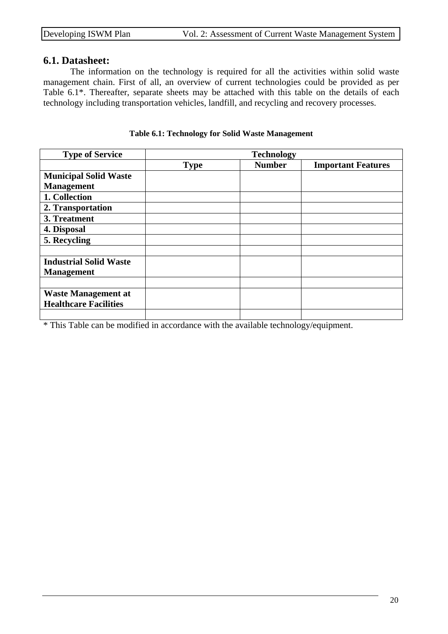#### **6.1. Datasheet:**

The information on the technology is required for all the activities within solid waste management chain. First of all, an overview of current technologies could be provided as per Table 6.1\*. Thereafter, separate sheets may be attached with this table on the details of each technology including transportation vehicles, landfill, and recycling and recovery processes.

| <b>Type of Service</b>        |             | <b>Technology</b> |                           |  |
|-------------------------------|-------------|-------------------|---------------------------|--|
|                               | <b>Type</b> | <b>Number</b>     | <b>Important Features</b> |  |
| <b>Municipal Solid Waste</b>  |             |                   |                           |  |
| <b>Management</b>             |             |                   |                           |  |
| 1. Collection                 |             |                   |                           |  |
| 2. Transportation             |             |                   |                           |  |
| 3. Treatment                  |             |                   |                           |  |
| 4. Disposal                   |             |                   |                           |  |
| 5. Recycling                  |             |                   |                           |  |
|                               |             |                   |                           |  |
| <b>Industrial Solid Waste</b> |             |                   |                           |  |
| <b>Management</b>             |             |                   |                           |  |
|                               |             |                   |                           |  |
| <b>Waste Management at</b>    |             |                   |                           |  |
| <b>Healthcare Facilities</b>  |             |                   |                           |  |
|                               |             |                   |                           |  |

#### **Table 6.1: Technology for Solid Waste Management**

\* This Table can be modified in accordance with the available technology/equipment.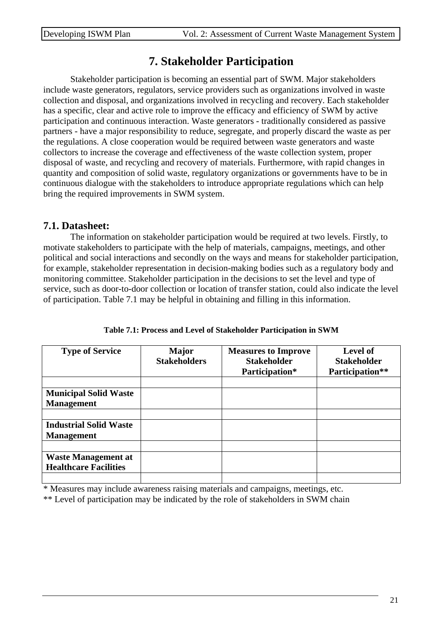# **7. Stakeholder Participation**

Stakeholder participation is becoming an essential part of SWM. Major stakeholders include waste generators, regulators, service providers such as organizations involved in waste collection and disposal, and organizations involved in recycling and recovery. Each stakeholder has a specific, clear and active role to improve the efficacy and efficiency of SWM by active participation and continuous interaction. Waste generators - traditionally considered as passive partners - have a major responsibility to reduce, segregate, and properly discard the waste as per the regulations. A close cooperation would be required between waste generators and waste collectors to increase the coverage and effectiveness of the waste collection system, proper disposal of waste, and recycling and recovery of materials. Furthermore, with rapid changes in quantity and composition of solid waste, regulatory organizations or governments have to be in continuous dialogue with the stakeholders to introduce appropriate regulations which can help bring the required improvements in SWM system.

#### **7.1. Datasheet:**

The information on stakeholder participation would be required at two levels. Firstly, to motivate stakeholders to participate with the help of materials, campaigns, meetings, and other political and social interactions and secondly on the ways and means for stakeholder participation, for example, stakeholder representation in decision-making bodies such as a regulatory body and monitoring committee. Stakeholder participation in the decisions to set the level and type of service, such as door-to-door collection or location of transfer station, could also indicate the level of participation. Table 7.1 may be helpful in obtaining and filling in this information.

| <b>Type of Service</b>                                     | <b>Major</b><br><b>Stakeholders</b> | <b>Measures to Improve</b><br><b>Stakeholder</b><br>Participation* | <b>Level of</b><br><b>Stakeholder</b><br>Participation** |
|------------------------------------------------------------|-------------------------------------|--------------------------------------------------------------------|----------------------------------------------------------|
| <b>Municipal Solid Waste</b><br><b>Management</b>          |                                     |                                                                    |                                                          |
| <b>Industrial Solid Waste</b><br><b>Management</b>         |                                     |                                                                    |                                                          |
| <b>Waste Management at</b><br><b>Healthcare Facilities</b> |                                     |                                                                    |                                                          |

**Table 7.1: Process and Level of Stakeholder Participation in SWM** 

\* Measures may include awareness raising materials and campaigns, meetings, etc.

\*\* Level of participation may be indicated by the role of stakeholders in SWM chain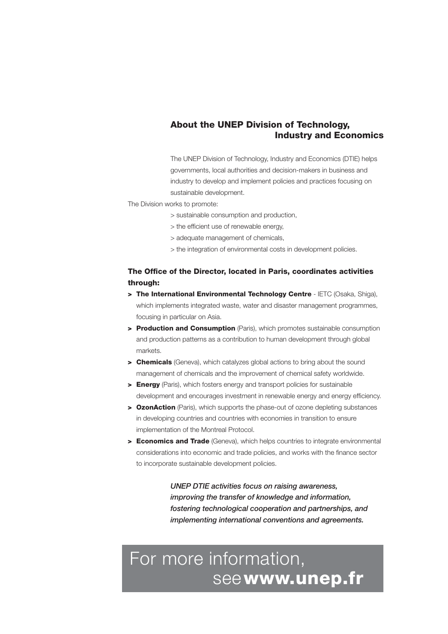#### **About the UNEP Division of Technology, Industry and Economics**

The UNEP Division of Technology, Industry and Economics (DTIE) helps governments, local authorities and decision-makers in business and industry to develop and implement policies and practices focusing on sustainable development.

The Division works to promote:

- > sustainable consumption and production,
- > the efficient use of renewable energy,
- > adequate management of chemicals,
- > the integration of environmental costs in development policies.

#### **The Office of the Director, located in Paris, coordinates activities through:**

- **> The International Environmental Technology Centre** IETC (Osaka, Shiga), which implements integrated waste, water and disaster management programmes, focusing in particular on Asia.
- **> Production and Consumption** (Paris), which promotes sustainable consumption and production patterns as a contribution to human development through global markets.
- **> Chemicals** (Geneva), which catalyzes global actions to bring about the sound management of chemicals and the improvement of chemical safety worldwide.
- **> Energy** (Paris), which fosters energy and transport policies for sustainable development and encourages investment in renewable energy and energy efficiency.
- **> OzonAction** (Paris), which supports the phase-out of ozone depleting substances in developing countries and countries with economies in transition to ensure implementation of the Montreal Protocol.
- **> Economics and Trade** (Geneva), which helps countries to integrate environmental considerations into economic and trade policies, and works with the finance sector to incorporate sustainable development policies.

*UNEP DTIE activities focus on raising awareness, improving the transfer of knowledge and information, fostering technological cooperation and partnerships, and implementing international conventions and agreements.*

# For more information, see **www.unep.fr**